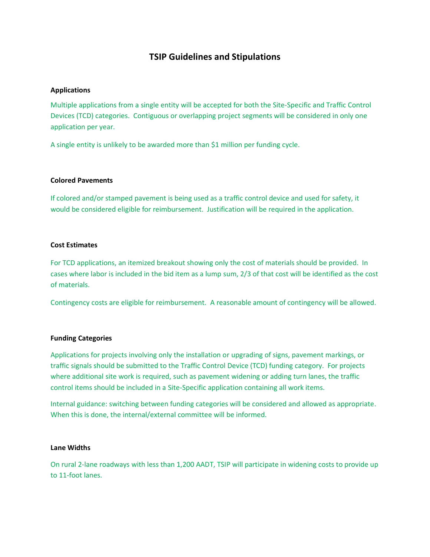# **TSIP Guidelines and Stipulations**

#### **Applications**

Multiple applications from a single entity will be accepted for both the Site-Specific and Traffic Control Devices (TCD) categories. Contiguous or overlapping project segments will be considered in only one application per year.

A single entity is unlikely to be awarded more than \$1 million per funding cycle.

#### **Colored Pavements**

If colored and/or stamped pavement is being used as a traffic control device and used for safety, it would be considered eligible for reimbursement. Justification will be required in the application.

#### **Cost Estimates**

For TCD applications, an itemized breakout showing only the cost of materials should be provided. In cases where labor is included in the bid item as a lump sum, 2/3 of that cost will be identified as the cost of materials.

Contingency costs are eligible for reimbursement.A reasonable amount of contingency will be allowed.

#### **Funding Categories**

Applications for projects involving only the installation or upgrading of signs, pavement markings, or traffic signals should be submitted to the Traffic Control Device (TCD) funding category. For projects where additional site work is required, such as pavement widening or adding turn lanes, the traffic control items should be included in a Site-Specific application containing all work items.

Internal guidance: switching between funding categories will be considered and allowed as appropriate. When this is done, the internal/external committee will be informed.

#### **Lane Widths**

On rural 2-lane roadways with less than 1,200 AADT, TSIP will participate in widening costs to provide up to 11-foot lanes.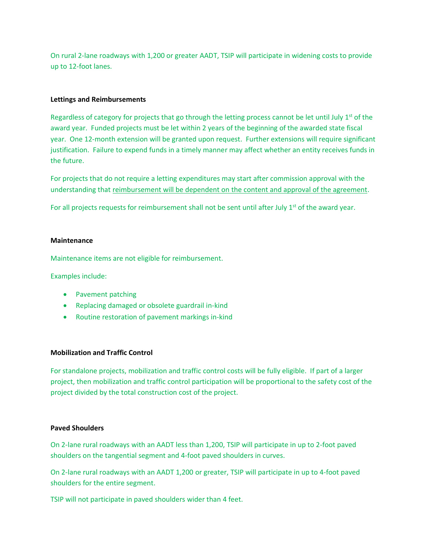On rural 2-lane roadways with 1,200 or greater AADT, TSIP will participate in widening costs to provide up to 12-foot lanes.

#### **Lettings and Reimbursements**

Regardless of category for projects that go through the letting process cannot be let until July  $1<sup>st</sup>$  of the award year. Funded projects must be let within 2 years of the beginning of the awarded state fiscal year. One 12-month extension will be granted upon request. Further extensions will require significant justification. Failure to expend funds in a timely manner may affect whether an entity receives funds in the future.

For projects that do not require a letting expenditures may start after commission approval with the understanding that reimbursement will be dependent on the content and approval of the agreement.

For all projects requests for reimbursement shall not be sent until after July 1<sup>st</sup> of the award year.

## **Maintenance**

Maintenance items are not eligible for reimbursement.

Examples include:

- Pavement patching
- Replacing damaged or obsolete guardrail in-kind
- Routine restoration of pavement markings in-kind

#### **Mobilization and Traffic Control**

For standalone projects, mobilization and traffic control costs will be fully eligible. If part of a larger project, then mobilization and traffic control participation will be proportional to the safety cost of the project divided by the total construction cost of the project.

#### **Paved Shoulders**

On 2-lane rural roadways with an AADT less than 1,200, TSIP will participate in up to 2-foot paved shoulders on the tangential segment and 4-foot paved shoulders in curves.

On 2-lane rural roadways with an AADT 1,200 or greater, TSIP will participate in up to 4-foot paved shoulders for the entire segment.

TSIP will not participate in paved shoulders wider than 4 feet.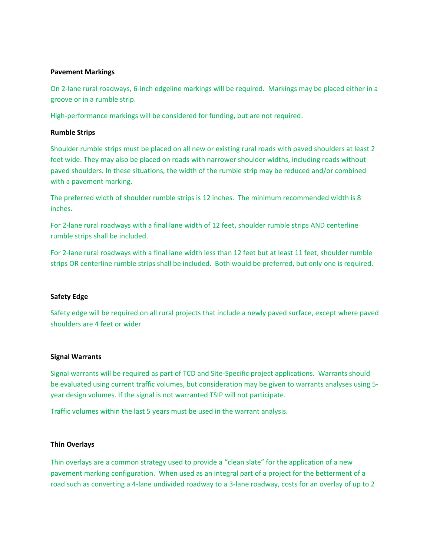## **Pavement Markings**

On 2-lane rural roadways, 6-inch edgeline markings will be required. Markings may be placed either in a groove or in a rumble strip.

High-performance markings will be considered for funding, but are not required.

#### **Rumble Strips**

Shoulder rumble strips must be placed on all new or existing rural roads with paved shoulders at least 2 feet wide. They may also be placed on roads with narrower shoulder widths, including roads without paved shoulders. In these situations, the width of the rumble strip may be reduced and/or combined with a pavement marking.

The preferred width of shoulder rumble strips is 12 inches. The minimum recommended width is 8 inches.

For 2-lane rural roadways with a final lane width of 12 feet, shoulder rumble strips AND centerline rumble strips shall be included.

For 2-lane rural roadways with a final lane width less than 12 feet but at least 11 feet, shoulder rumble strips OR centerline rumble strips shall be included. Both would be preferred, but only one is required.

#### **Safety Edge**

Safety edge will be required on all rural projects that include a newly paved surface, except where paved shoulders are 4 feet or wider.

#### **Signal Warrants**

Signal warrants will be required as part of TCD and Site-Specific project applications. Warrants should be evaluated using current traffic volumes, but consideration may be given to warrants analyses using 5 year design volumes. If the signal is not warranted TSIP will not participate.

Traffic volumes within the last 5 years must be used in the warrant analysis.

#### **Thin Overlays**

Thin overlays are a common strategy used to provide a "clean slate" for the application of a new pavement marking configuration. When used as an integral part of a project for the betterment of a road such as converting a 4-lane undivided roadway to a 3-lane roadway, costs for an overlay of up to 2